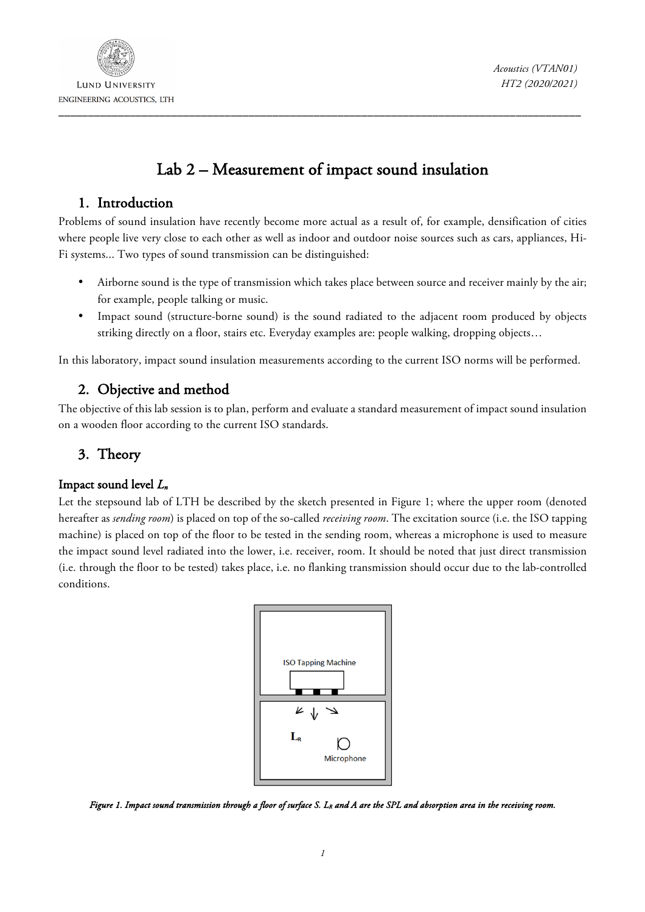

*Acoustics (VTAN01) HT2 (2020/2021)*

# Lab 2 – Measurement of impact sound insulation

### 1. Introduction

Problems of sound insulation have recently become more actual as a result of, for example, densification of cities where people live very close to each other as well as indoor and outdoor noise sources such as cars, appliances, Hi-Fi systems... Two types of sound transmission can be distinguished:

- Airborne sound is the type of transmission which takes place between source and receiver mainly by the air; for example, people talking or music.
- Impact sound (structure-borne sound) is the sound radiated to the adjacent room produced by objects striking directly on a floor, stairs etc. Everyday examples are: people walking, dropping objects…

In this laboratory, impact sound insulation measurements according to the current ISO norms will be performed.

### 2. Objective and method

The objective of this lab session is to plan, perform and evaluate a standard measurement of impact sound insulation on a wooden floor according to the current ISO standards.

## 3. Theory

### Impact sound level *Ln*

Let the stepsound lab of LTH be described by the sketch presented in Figure 1; where the upper room (denoted hereafter as *sending room*) is placed on top of the so-called *receiving room*. The excitation source (i.e. the ISO tapping machine) is placed on top of the floor to be tested in the sending room, whereas a microphone is used to measure the impact sound level radiated into the lower, i.e. receiver, room. It should be noted that just direct transmission (i.e. through the floor to be tested) takes place, i.e. no flanking transmission should occur due to the lab-controlled conditions.



*Figure 1. Impact sound transmission through a floor of surface S. L<sub>R</sub> and A are the SPL and absorption area in the receiving room.*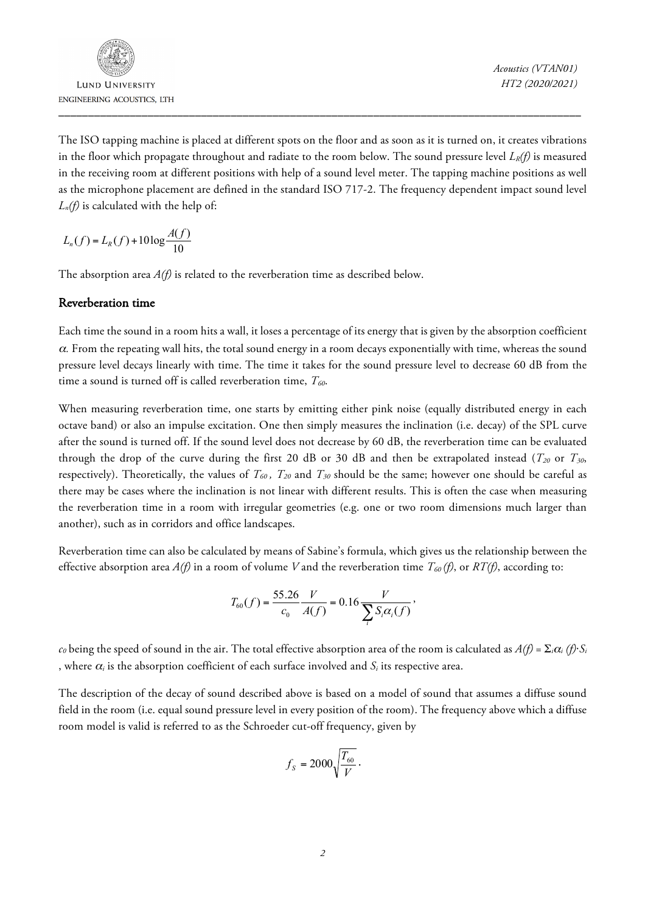**LUND UNIVERSITY**  \_\_\_\_\_\_\_\_\_\_\_\_\_\_\_\_\_\_\_\_\_\_\_\_\_\_\_\_\_\_\_\_\_\_\_\_\_\_\_\_\_\_\_\_\_\_\_\_\_\_\_\_\_\_\_\_\_\_\_\_\_\_\_\_\_\_\_\_\_\_\_\_\_\_\_\_\_\_\_\_\_\_\_\_\_\_\_\_

*Acoustics (VTAN01) HT2 (2020/2021)*

The ISO tapping machine is placed at different spots on the floor and as soon as it is turned on, it creates vibrations in the floor which propagate throughout and radiate to the room below. The sound pressure level  $L_R(f)$  is measured in the receiving room at different positions with help of a sound level meter. The tapping machine positions as well as the microphone placement are defined in the standard ISO 717-2. The frequency dependent impact sound level *Ln(f)* is calculated with the help of:

$$
L_n(f) = L_R(f) + 10 \log \frac{A(f)}{10}
$$

The absorption area *A(f)* is related to the reverberation time as described below.

#### Reverberation time

Each time the sound in a room hits a wall, it loses a percentage of its energy that is given by the absorption coefficient <sup>α</sup>*.* From the repeating wall hits, the total sound energy in a room decays exponentially with time, whereas the sound pressure level decays linearly with time. The time it takes for the sound pressure level to decrease 60 dB from the time a sound is turned off is called reverberation time,  $T_{60}$ .

When measuring reverberation time, one starts by emitting either pink noise (equally distributed energy in each octave band) or also an impulse excitation. One then simply measures the inclination (i.e. decay) of the SPL curve after the sound is turned off. If the sound level does not decrease by 60 dB, the reverberation time can be evaluated through the drop of the curve during the first 20 dB or 30 dB and then be extrapolated instead ( $T_{20}$  or  $T_{30}$ , respectively). Theoretically, the values of  $T_{60}$ ,  $T_{20}$  and  $T_{30}$  should be the same; however one should be careful as there may be cases where the inclination is not linear with different results. This is often the case when measuring the reverberation time in a room with irregular geometries (e.g. one or two room dimensions much larger than another), such as in corridors and office landscapes.

Reverberation time can also be calculated by means of Sabine's formula, which gives us the relationship between the effective absorption area  $A(f)$  in a room of volume *V* and the reverberation time  $T_{60}(f)$ , or  $RT(f)$ , according to:

$$
T_{60}(f) = \frac{55.26 \frac{V}{c_0}}{C_0 \cdot A(f)} = 0.16 \frac{V}{\sum_{i} S_i \alpha_i(f)},
$$

 $c_0$  being the speed of sound in the air. The total effective absorption area of the room is calculated as  $A(f) = \sum_i \alpha_i(f) \cdot S_i$ , where <sup>α</sup>*<sup>i</sup>* is the absorption coefficient of each surface involved and *Si* its respective area.

The description of the decay of sound described above is based on a model of sound that assumes a diffuse sound field in the room (i.e. equal sound pressure level in every position of the room). The frequency above which a diffuse room model is valid is referred to as the Schroeder cut-off frequency, given by

$$
f_s=2000\sqrt{\frac{T_{60}}{V}}\,.
$$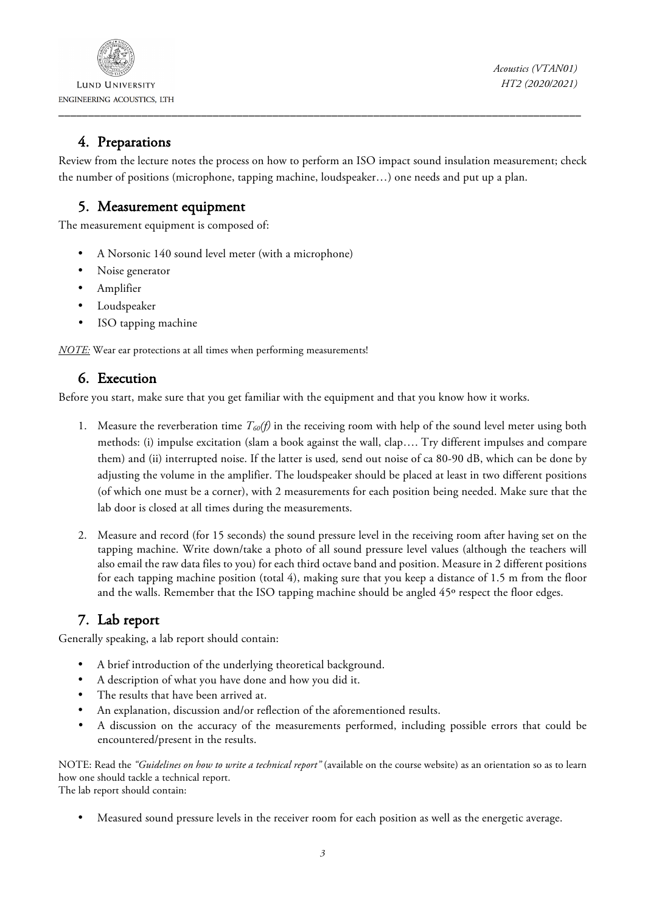

**LUND UNIVERSITY**  \_\_\_\_\_\_\_\_\_\_\_\_\_\_\_\_\_\_\_\_\_\_\_\_\_\_\_\_\_\_\_\_\_\_\_\_\_\_\_\_\_\_\_\_\_\_\_\_\_\_\_\_\_\_\_\_\_\_\_\_\_\_\_\_\_\_\_\_\_\_\_\_\_\_\_\_\_\_\_\_\_\_\_\_\_\_\_\_

*Acoustics (VTAN01) HT2 (2020/2021)*

### 4. Preparations

Review from the lecture notes the process on how to perform an ISO impact sound insulation measurement; check the number of positions (microphone, tapping machine, loudspeaker…) one needs and put up a plan.

### 5. Measurement equipment

The measurement equipment is composed of:

- A Norsonic 140 sound level meter (with a microphone)
- Noise generator
- Amplifier
- Loudspeaker
- ISO tapping machine

*NOTE:* Wear ear protections at all times when performing measurements!

### 6. Execution

Before you start, make sure that you get familiar with the equipment and that you know how it works.

- 1. Measure the reverberation time *T60(f)* in the receiving room with help of the sound level meter using both methods: (i) impulse excitation (slam a book against the wall, clap…. Try different impulses and compare them) and (ii) interrupted noise. If the latter is used*,* send out noise of ca 80-90 dB, which can be done by adjusting the volume in the amplifier. The loudspeaker should be placed at least in two different positions (of which one must be a corner), with 2 measurements for each position being needed. Make sure that the lab door is closed at all times during the measurements.
- 2. Measure and record (for 15 seconds) the sound pressure level in the receiving room after having set on the tapping machine. Write down/take a photo of all sound pressure level values (although the teachers will also email the raw data files to you) for each third octave band and position. Measure in 2 different positions for each tapping machine position (total 4), making sure that you keep a distance of 1.5 m from the floor and the walls. Remember that the ISO tapping machine should be angled 45<sup>o</sup> respect the floor edges.

# 7. Lab report

Generally speaking, a lab report should contain:

- A brief introduction of the underlying theoretical background.
- A description of what you have done and how you did it.
- The results that have been arrived at.
- An explanation, discussion and/or reflection of the aforementioned results.
- A discussion on the accuracy of the measurements performed, including possible errors that could be encountered/present in the results.

NOTE: Read the *"Guidelines on how to write a technical report"* (available on the course website) as an orientation so as to learn how one should tackle a technical report.

The lab report should contain:

• Measured sound pressure levels in the receiver room for each position as well as the energetic average.